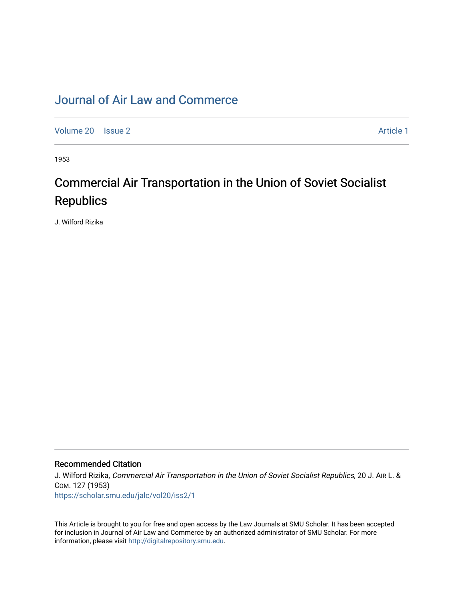# [Journal of Air Law and Commerce](https://scholar.smu.edu/jalc)

[Volume 20](https://scholar.smu.edu/jalc/vol20) | [Issue 2](https://scholar.smu.edu/jalc/vol20/iss2) Article 1

1953

# Commercial Air Transportation in the Union of Soviet Socialist **Republics**

J. Wilford Rizika

# Recommended Citation

J. Wilford Rizika, Commercial Air Transportation in the Union of Soviet Socialist Republics, 20 J. AIR L. & COM. 127 (1953) [https://scholar.smu.edu/jalc/vol20/iss2/1](https://scholar.smu.edu/jalc/vol20/iss2/1?utm_source=scholar.smu.edu%2Fjalc%2Fvol20%2Fiss2%2F1&utm_medium=PDF&utm_campaign=PDFCoverPages) 

This Article is brought to you for free and open access by the Law Journals at SMU Scholar. It has been accepted for inclusion in Journal of Air Law and Commerce by an authorized administrator of SMU Scholar. For more information, please visit [http://digitalrepository.smu.edu](http://digitalrepository.smu.edu/).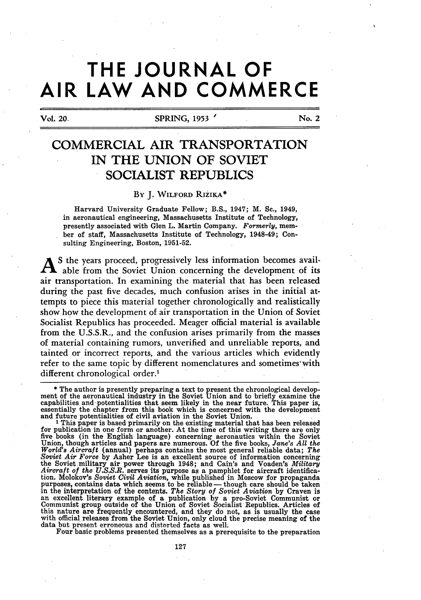# **THE JOURNAL OF AIR LAW AND COMMERCE**

Vol. 20, SPRING, 1953 ' No. 2

# COMMERCIAL AIR TRANSPORTATION **IN** THE **UNION** OF **SOVIET** SOCIALIST **REPUBLICS**

# By **J.** WILFORD RIzIKA\*

Harvard University Graduate Fellow; B.S., 1947; M. **Sc.,** 1949, in aeronautical engineering, Massachusetts Institute of Technology, presently associated with Glen L. Martin Company. *Formerly,* member of staff, Massachusetts Institute of Technology, 1948-49; Consulting Engineering, Boston, **1951-52.**

A **S** the years proceed, progressively less information becomes available from the Soviet Union concerning the development of its air transportation. In examining the material that has been released during the past five decades, much confusion arises in the initial attempts to piece this material together chronologically and realistically show how the development of air transportation in the Union of Soviet Socialist Republics has proceeded. Meager official material is available from the **U.S.S.R.,** and the confusion arises primarily from the masses of material containing rumors, unverified and unreliable reports, and tainted or incorrect reports, and the various articles which evidently refer to the same topic by different nomenclatures and sometimes with different chronological order.'

\* The author is presently preparing a text to present the chronological development of the aeronautical industry in the Soviet Union and to briefly examine the capabilities and potentialities that seem likely in the near future. This paper is, essentially the chapter from this book which is concerned with the development and future potentialities of civil aviation in the Soviet Union. 1 This paper is based primarily on the existing material that has been released

for publication in one form or another. At the time of this writing there are only five books (in the English language) concerning aeronautics within the Soviet Union, though articles and papers are numerous. Of the five books, Jane's All the World's Aircraft (annual) perhaps contains the most general reliable data; The Soviet Air Force by Asher Lee is an excellent source of infor the Soviet-military air power through 1948; and Cain's and Voaden's *Military Aircraft of the U.S.S.R.* serves its purpose as a pamphlet for aircraft identification. Molokov's *Soviet Civil Aviation,* while published in Moscow for propaganda purposes, contains data which seems to be reliable **-** though care should be taken in the interpretation of the contents. *The Story of Soviet Aviation* **by** Craven is an excellent literary example of a publication **by** a pro-Soviet Communist or Communist group outside of the Union of Soviet Socialist Republics. Articles of this nature are frequently encountered, and they do not, as is usually the case with official releases from the Soviet Union, only cloud the precise meaning of the data but present erroneous and distorted facts as well.

Four basic problems presented themselves as a prerequisite to the preparation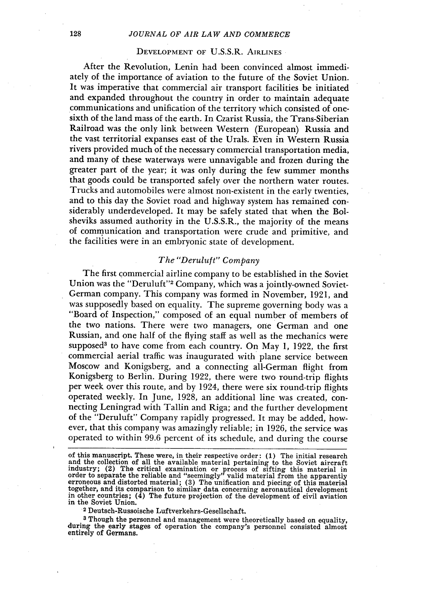#### *JOURNAL OF AIR LAW AND COMMERCE*

#### **DEVELOPMENT** OF U.S.S.R. AIRLINES

After the Revolution, Lenin had been convinced almost immediately of the importance of aviation to the future of the Soviet Union. It was imperative that commercial air transport facilities be initiated and expanded throughout the country in order to maintain adequate communications and unification of the territory which consisted of onesixth of the land mass of the earth. In Czarist Russia, the Trans-Siberian Railroad was the only link between Western (European) Russia and the vast territorial expanses east of the Urals. Even in Western Russia rivers provided much of the necessary commercial transportation media, and many of these waterways were unnavigable and frozen during the greater part of the year; it was only during the few summer months that goods could be transported safely over the northern water routes. Trucks and automobiles were almost non-existent in the early twenties, and to this day the Soviet road and highway system has remained considerably underdeveloped. It may be safely stated that when the Bolsheviks assumed authority in the U.S.S.R., the majority of the means of communication and transportation were crude and primitive, and the facilities were in an embryonic state of development.

# *The "Deruluft" Company*

The first commercial airline company to be established in the Soviet Union was the "Deruluft"<sup>2</sup> Company, which was a jointly-owned Soviet-German company. This company was formed in November, 1921, and was supposedly based on equality. The supreme governing body was a "Board of Inspection," composed of an equal number of members of the two nations. There were two managers, one German and one Russian, and one half of the flying staff as well as the mechanics were supposed<sup>3</sup> to have come from each country. On May 1, 1922, the first commercial aerial traffic was inaugurated with plane service between Moscow and Konigsberg, and a connecting all-German flight from Konigsberg to Berlin. During 1922, there were two round-trip flights per week over this route, and by 1924, there were six round-trip flights operated weekly. In June, 1928, an additional line was created, connecting Leningrad with Tallin and Riga; and the further development of the "Deruluft" Company rapidly progressed. It may be added, however, that this company was amazingly reliable; in 1926, the service was operated to within 99.6 percent of its schedule, and during the course

**<sup>3</sup>**Though the personnel and management were theoretically based on equality, during the early stages of operation the company's personnel consisted almost entirely of Germans.

of this manuscript. These were, in their respective order: **(1)** The initial research and the collection of all the available material pertaining to the Soviet aircraft industry; (2) The critical examination or process of sifting this material in  $\alpha$  and the reliable and "seemingly" valid material from the apparently<br>erroneous and distorted material; (3) The unification and piecing of this material<br>together, and its comparison to similar data concerning aeronauti in other countries;  $(\bar{4})$  The future projection of the development of civil aviation in the Soviet Union.<br><sup>2</sup> Deutsch-Russoische Luftverkehrs-Gesellschaft.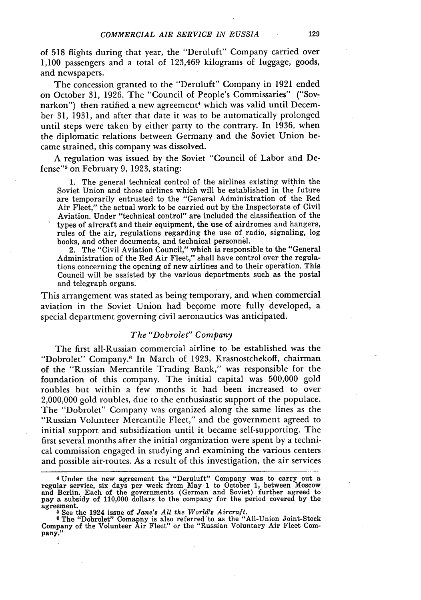of 518 flights during that year, the "Deruluft" Company carried over 1,100 passengers and a total of 123,469 kilograms of luggage, goods, and newspapers.

The concession granted to the "Deruluft" Company in 1921 ended on October 31, 1926. The "Council of People's Commissaries" ("Sovnarkon") then ratified a new agreement<sup>4</sup> which was valid until December 31, 1931, and after that date it was to be automatically prolonged until steps were taken by either party to the contrary. In 1936, when the diplomatic relations between Germany and the Soviet Union became strained, this company was dissolved.

A regulation was issued by the Soviet "Council of Labor and Defense"<sup>5</sup> on February 9, 1923, stating:

1. The general technical control of the airlines existing within the Soviet Union and those airlines which will be established in the future are temporarily entrusted to the "General Administration of the Red Air Fleet," the actual work to be carried out by the Inspectorate of Civil Aviation. Under "technical control" are included the classification of the types of aircraft and their equipment, the use of airdromes and hangers, rules of the air, regulations regarding the use of radio, signaling, log books, and other documents, and technical personnel.

2. The "Civil Aviation Council," which is responsible to the "General Administration of the Red Air Fleet," shall have control over the regulations concerning the opening of new airlines and to their operation. This Council will be assisted by the various departments such as the postal and telegraph organs.

This arrangement was stated as being temporary, and when commercial aviation in the Soviet Union had become more fully developed, a special department governing civil aeronautics was anticipated.

#### *The "Dobrolet" Company*

The first all-Russian commercial airline to be established was the "Dobrolet" Company.<sup>6</sup> In March of 1923, Krasnostchekoff, chairman of the "Russian Mercantile Trading Bank," was responsible for the foundation of this company. The initial capital was 500,000 gold roubles but within a few months it had been increased to over 2,000,000 gold roubles, due to the enthusiastic support of the populace. The "Dobrolet" Company was organized along the same lines as the "Russian Volunteer Mercantile Fleet," and the government agreed to initial support and subsidization until it became self-supporting. The first several months after the initial organization were spent by a technical commission engaged in studying and examining the various centers and possible air-routes. As a result of this investigation, the air services

**<sup>4</sup>** Under the new agreement the "Deruluft" Company was to carry out a regular service, six days per week from May 1 to October 1, between Moscow<br>and Berlin. Each of the governments (German and Soviet) further agreed to<br>pay a subsidy of 110,000 dollars to the company for the period covered by agreement.

**<sup>5</sup>** See the 1924 issue of *Jane's All the World's Aircraft.*

**<sup>6</sup>** The "Dobrolet" Comapny is also referred 'to as the "All-Union Joint-Stock Company of the Volunteer Air Fleet" or the "Russian Voluntary Air Fleet Company."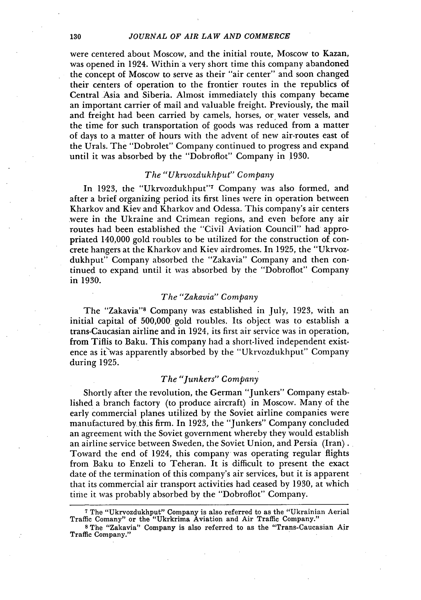#### *JOURNAL OF AIR LAW AND COMMERCE*

were centered about Moscow, and the initial route, Moscow to Kazan, was opened in 1924. Within a very short time this company abandoned the concept of Moscow to serve as their "air center" and soon changed their centers of operation to the frontier routes in the republics of Central Asia and Siberia. Almost immediately this company became an important carrier of mail and valuable freight. Previously, the mail and freight had been carried by camels, horses, or water vessels, and the time for such transportation of goods was reduced from a matter of days to a matter of hours with the advent of new air-routes east of the Urals. The "Dobrolet" Company continued to progress and expand until it was absorbed by the "Dobroflot" Company in 1930.

## *The "Ukrvozdukhput" Company*

In 1923, the "Ukrvozdukhput"<sup>7</sup> Company was also formed, and after a brief organizing period its first lines were in operation between Kharkov and Kiev and Kharkov and Odessa. This company's air centers were in the Ukraine and Crimean regions, and even before any air routes had been established the "Civil Aviation Council" had appropriated 140,000 gold roubles to be utilized for the construction of concrete hangers at the Kharkov and Kiev airdromes. In 1925, the "Ukrvozdukhput" Company absorbed the "Zakavia" Company and then continued to expand until it was absorbed by the "Dobroflot" Company in 1930.

#### *The "Zakavia" Company*

The "Zakavia"<sup>8</sup> Company was established in July, 1923, with an initial capital of 500,000 gold roubles. Its object was to establish a trans-Caucasian airline and in 1924, its first air service was in operation, from Tiflis to Baku. This company had a short-lived independent existence as it was apparently absorbed by the "Ukrvozdukhput" Company during 1925.

# *The "Junkers" Company*

Shortly after the revolution, the German "Junkers" Company established a branch factory (to produce aircraft) in Moscow. Many of the early commercial planes utilized by the Soviet airline companies were manufactured by this firm. In 1923, the "Junkers" Company concluded an agreement with the Soviet government whereby they would establish an airline service between Sweden, the Soviet Union, and Persia (Iran). Toward the end of 1924, this company was operating regular flights from Baku to Enzeli to Teheran. It is difficult to present the exact date of the termination of this company's air services, but it is apparent that its commercial air transport activities had ceased by 1930, at which time it was probably absorbed by the "Dobroflot" Company.

130

**<sup>7</sup>** The "Ukrvozdukhput" Company is also referred to as the "Ukrainian Aerial Traffic Comany" or the "Ukrkrima Aviation and Air Traffic Company."

s The "Zakavia" Company is also referred to as the "Trans-Caucasian Air Traffic Company."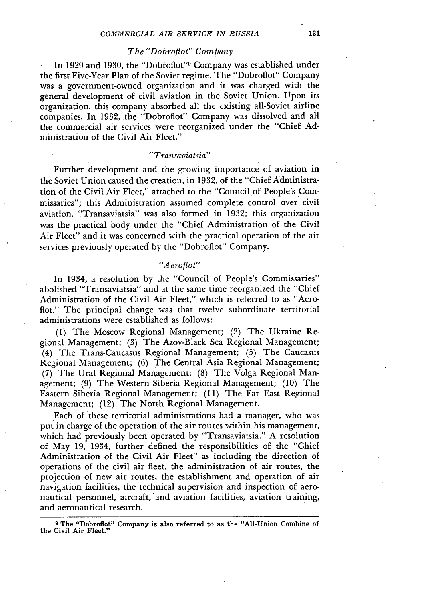# *The "Dobroflot" Company*

In 1929 and 1930, the "Dobroflot" Company was established under the first Five-Year Plan of the Soviet regime. The "Dobroflot" Company was a government-owned organization and it was charged with the general development of civil aviation in the Soviet Union. Upon its organization, this company absorbed all the existing all-Soviet airline companies. In 1932, the "Dobroflot" Company was dissolved and ail the commercial air services were reorganized under the "Chief Administration of the Civil Air Fleet."

#### *"Transaviatsia"*

Further development and the growing importance of aviation in the Soviet Union caused the creation, in 1932, of the "Chief Administration of the Civil Air Fleet," attached to the "Council of People's Commissaries"; this Administration assumed complete control over civil aviation. "Transaviatsia" was also formed in 1932; this organization was the practical body under the "Chief Administration of the Civil Air Fleet" and it was concerned with the practical operation of the air services previously operated by the "Dobroflot" Company.

#### *"A eroflot"*

In 1934, a resolution by the "Council of People's Commissaries" abolished "Transaviatsia" and at the same time reorganized the "Chief Administration of the Civil Air Fleet," which is referred to as "Aeroflot." The principal change was that twelve subordinate territorial administrations were established as follows:

(1) The Moscow Regional Management; (2) The Ukraine Regional Management; (3) The Azov-Black Sea Regional Management; (4) The Trans-Caucasus Regional Management; (5) The Caucasus Regional Management; (6) The Central Asia Regional Management; (7) The Ural Regional Management; (8) The Volga Regional Management; (9) The Western Siberia Regional Management; (10) The Eastern Siberia Regional Management; (11) The Far East Regional Management; (12) The North Regional Management.

Each of these territorial administrations had a manager, who was put in charge of the operation of the air routes within his management, which had previously been operated by "Transaviatsia." A resolution of May 19, 1934, further defined the responsibilities of the "Chief Administration of the Civil Air Fleet" as including the direction of operations of the civil air fleet, the administration **of** air routes, the projection of new air routes, the establishment and operation of air navigation facilities, the technical supervision and inspection of aeronautical personnel, aircraft, and aviation facilities, aviation training, and aeronautical research.

**9** The "Dobroflot" Company is also referred to as the "All-Union Combine **of** the Civil Air Fleet."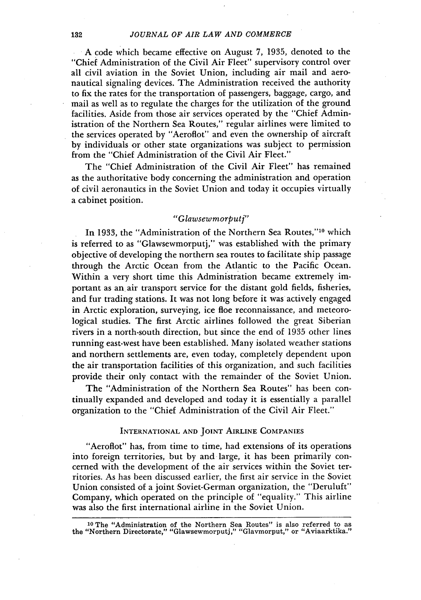A code which became effective on August *7,* 1935, denoted to the "Chief Administration of the Civil Air Fleet" supervisory control over all civil aviation in the Soviet Union, including air mail and aeronautical signaling devices. The Administration received the authority to fix the rates for the transportation of passengers, baggage, cargo, and mail as well as to regulate the charges for the utilization of the ground facilities. Aside from those air services operated by the "Chief Administration of the Northern Sea Routes," regular airlines were limited to the services operated by "Aeroflot" and even the ownership of aircraft by individuals or other state organizations was subject to permission from the "Chief Administration of the Civil Air Fleet."

The "Chief Administration of the Civil Air Fleet" has remained as the authoritative body concerning the administration and operation of civil aeronautics in the Soviet Union and today it occupies virtually a cabinet position.

# *"Glawsewmorputf'*

In 1933, the "Administration of the Northern Sea Routes,"<sup>10</sup> which is referred to as "Glawsewmorputj," was established with the primary objective of developing the northern sea routes to facilitate ship passage through the Arctic Ocean from the Atlantic to the Pacific Ocean. Within a very short time this Administration became extremely important as an air transport service for the distant gold fields, fisheries, and fur trading stations. It was not long before it was actively engaged in Arctic exploration, surveying, ice floe reconnaissance, and meteorological studies. The first Arctic airlines followed the great Siberian rivers in a north-south direction, but since the end of 1935 other lines running east-west have been established. Many isolated weather stations and northern settlements are, even today, completely dependent upon the air transportation facilities of this organization, and such facilities provide their only contact with the remainder of the Soviet Union.

The "Administration of the Northern Sea Routes" has been continually expanded and developed and today it is essentially a parallel organization to the "Chief Administration of the Civil Air Fleet."

#### INTERNATIONAL **AND JOINT** AIRLINE **COMPANIES**

"Aeroflot" has, from time to time, had extensions of its operations into foreign territories, but by and large, it has been primarily concerned with the development of the air services within the Soviet territories. As has been discussed earlier, the first air service in the Soviet Union consisted of a joint Soviet-German organization, the "Deruluft" Company, which operated on the principle of "equality." This airline was also the first international airline in the Soviet Union.

**<sup>10</sup>**The "Administration of the Northern Sea Routes" is also referred to as the "Northern Directorate," "Glawsewmorputj," "Glavmorput," or "Aviaarktika."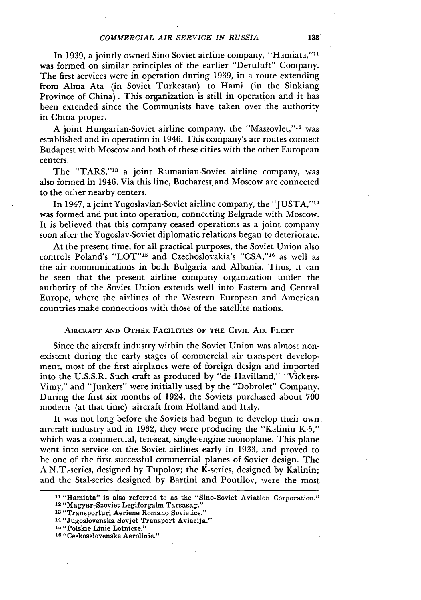In 1939, a jointly owned Sino-Soviet airline company, "Hamiata,""l was formed on similar principles of the earlier "Deruluft" Company. The first services were in operation during 1939, in a route extending from Alma Ata (in Soviet Turkestan) to Hami (in the Sinkiang Province of China). This organization is still in operation and it has been extended since the Communists have taken over the authority in China proper.

A joint Hungarian-Soviet airline company, the "Maszovlet,"<sup>12</sup> was established and in operation in 1946. This company's air routes connect Budapest with Moscow and both of these cities with the other European centers.

The "TARS,"<sup>13</sup> a joint Rumanian-Soviet airline company, was also formed in 1946. Via this line, Bucharest. and Moscow are connected to the other nearby centers.

In 1947, a joint Yugoslavian-Soviet airline company, the "JUSTA," <sup>14</sup> was formed and put into operation, connecting Belgrade with Moscow. It is believed that this company ceased operations as a joint company soon after the Yugoslav-Soviet diplomatic relations began to deteriorate.

At the present time, for all practical purposes, the Soviet Union also controls Poland's "LOT"<sup>15</sup> and Czechoslovakia's "CSA,"<sup>16</sup> as well as the air communications in both Bulgaria and Albania. Thus, it can be seen that the present airline company organization under the authority of the Soviet Union extends well into Eastern and Central Europe, where the airlines of the Western European and American countries make connections with those of the satellite nations.

# AIRCRAFT **AND** OTHER FACILITIES **OF THE CIVIL** AIR FLEET

Since the aircraft industry within the Soviet Union was almost nonexistent during the early stages of commercial air transport development, most of the first airplanes were of foreign design and imported into the U.S.S.R. Such craft as produced by "de Havilland," "Vickers-Vimy," and "Junkers" were initially used by the "Dobrolet" Company. During the first six months of 1924, the Soviets purchased about 700 modern (at that time) aircraft from Holland and Italy.

It was not long before the Soviets had begun to develop their own aircraft industry and in 1932, they were producing the "Kalinin K-5," which was a commercial, ten-seat, single-engine monoplane. This plane went into service on the Soviet airlines early in 1933, and proved to be one of the first successful commercial planes of Soviet design. The A.N.T.-series, designed by Tupolov; the K-series, designed by Kalinin; and the Stal-series designed by Bartini and Poutilov, were the most

**16** "Ceskosslovenske Aerolinie."

**<sup>11</sup>**"Hamiata" is also referred to as the "Sino-Soviet Aviation Corporation." **<sup>12</sup>**"Magyar-Szoviet Legiforgalm Tarsasag."

**<sup>13</sup>**"Transporturi Aeriene Romano Sovietice."

**<sup>14</sup>**"Jugoslovenska Sovjet Transport Aviacija."

**<sup>15</sup>**"Polskie Linie Lotnicze."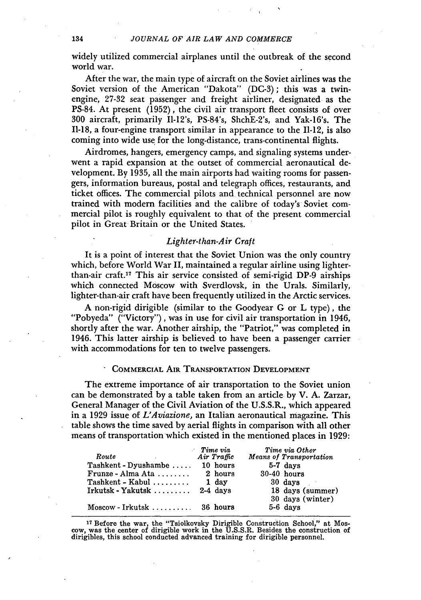widely utilized commercial airplanes until the outbreak of the second world war.

After the war, the main type of aircraft on the Soviet airlines was the Soviet version of the American "Dakota" (DC-3); this was a twinengine, 27-32 seat passenger and freight airliner, designated as the PS-84. At present (1952), the civil air transport fleet consists of over 300 aircraft, primarily II-12's, PS-84's, ShchE-2's, and Yak-16's. The 11-18, a four-engine transport similar in appearance to the 11-12, is also coming into wide use for the long-distance, trans-continental flights.

Airdromes, hangers, emergency camps, and signaling systems underwent a rapid expansion at the outset of commercial aeronautical development. By 1935, all the main airports had waiting rooms for passengers, information bureaus, postal and telegraph offices, restaurants, and ticket offices. The commercial pilots and technical personnel are now trained with modem facilities and the calibre of today's Soviet commercial pilot is roughly equivalent to that of the present commercial pilot in Great Britain or the United States.

### *Lighter-than-Air Craft*

It is a point of interest that the Soviet Union was the only country which, before World War II, maintained a regular airline using lighterthan-air craft. 17 This air service consisted of semi-rigid DP-9 airships which connected Moscow with Sverdlovsk, in the Urals. Similarly, lighter-than-air craft have been frequently utilized in the Arctic services.

A non-rigid dirigible (similar to the Goodyear G or L type), the "Pobyeda" ("Victory"), was in use for civil air transportation in 1946, shortly after the war. Another airship, the "Patriot," was completed in 1946. This latter airship is believed to have been a passenger carrier with accommodations for ten to twelve passengers.

# COMMERCIAL **AIR** TRANSPORTATION **DEVELOPMENT**

The extreme importance of air transportation to the Soviet union can be demonstrated by a table taken from an article by V. **A.** Zarzar, General Manager of the Civil Aviation of the U.S.S.R., which appeared in a 1929 issue of *L'Aviazione,* an Italian aeronautical magazine. This table shows the time saved by aerial flights in comparison with all other means of transportation which existed in the mentioned places in 1929:

| Route                         | Time via<br>Air Traffic | Time via Other<br>Means of Transportation |
|-------------------------------|-------------------------|-------------------------------------------|
| Tashkent - Dyushambe          | 10 hours                | 5-7 days                                  |
| Frunze - Alma Ata $\ldots$    | 2 hours                 | $30-40$ hours                             |
| $Taskent - Kabul \dots \dots$ | 1 day                   | 30 days                                   |
| $Irkutsk - Yakutsk$           | $2-4$ days              | 18 days (summer)                          |
|                               |                         | 30 days (winter)                          |
| $Moseow-Irkutsk$ 36 hours     |                         | 5-6 days                                  |

<sup>17</sup> Before the war, the "Tsiolkovsky Dirigible Construction School," at Moscow, was the center of dirigible work in the U.S.S.R. Besides the construction of dirigibles, this school conducted advanced training for dirigible personnel.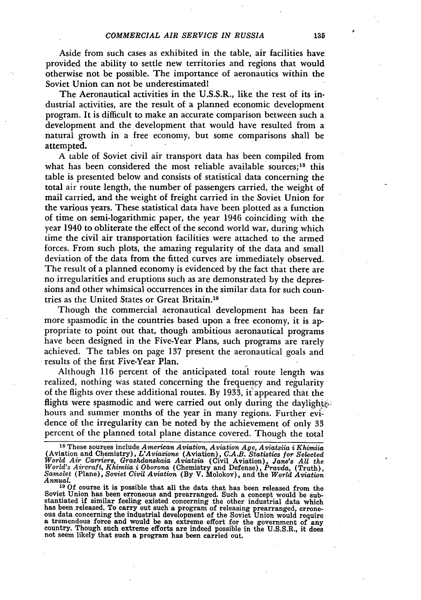Aside from such cases as exhibited in the table, air facilities have provided the ability to settle new territories and regions that would otherwise not be possible. The importance of aeronautics within the Soviet Union can not be underestimatedl

The Aeronautical activities in the U.S.S.R., like the rest of its industrial activities, are the result of a planned economic development program. It is difficult to make an accurate comparison between such a development and the development that would have resulted from a natural growth in a free economy, but some comparisons shall be attempted.

A table of Soviet civil air transport data has been compiled from what has been considered the most reliable available sources; $18$  this table is presented below and consists of statistical data concerning the total air route length, the number of passengers carried, the weight of mail carried, and the weight of freight carried in the Soviet Union for the various years. These statistical data have been plotted as a function of time on semi-logarithmic paper, the year 1946 coinciding with the year 1940 to obliterate the effect of the second world war, during which time the civil air transportation facilities were attached to the armed forces. From such plots, the amazing regularity of the data and small deviation of the data from the fitted curves are immediately observed. The result of a planned economy is evidenced **by** the fact that there are no irregularities and eruptions such as are demonstrated **by** the depressions and other whimsical occurrences in the similar data for such countries as the United States or Great Britain.19

Though the commercial aeronautical development has been far more spasmodic in the countries based upon a free economy, it is appropriate to point out that, though ambitious aeronautical programs have been designed in the Five-Year Plans, such programs are rarely achieved. The tables on page **137** present the aeronautical goals and results of the first Five-Year Plan.

Although 116 percent of the anticipated total route length was realized, nothing was stated concerning the frequercy and regularity of the flights over these additional routes. **By 1933,** it appeared that the flights were spasmodic and were carried out only during the daylights. hours and summer months of the year in many regions. Further evidence of the irregularity can be noted **by** the achievement of only **33** percent of the planned total plane distance covered. Though the total

**<sup>18</sup>**These sources include *American Aviation, Aviation Age, Aviatsiia i Khimiia* (Aviation and Chemistry), *L'Aviazione* (Aviation), *C.A.B. Statistics for Selected* World Air Carriers, Grazhdanskaia Aviatica (Civil Aviation), Jane's All the<br>World's Aircraft, Khimiia i Oborona (Chemistry and Defense), Pravda, (Truth),<br>Samolet (Plane), Soviet Civil Aviation (By V. Molokov), and the Worl *Annual.*

**<sup>19</sup>**Of course it is possible that all the data that has been released from the Soviet Union has been erroneous and prearranged. Such a concept would be sub-<br>stantiated if similar feeling existed concerning the other industrial data which has been released. To carry out such a program of releasing prearranged, errors-<br>ous data concerning the industrial development of the Soviet Union would require<br>a tremendous force and would be an extreme effort for the go not seem likely that such a program has been carried out.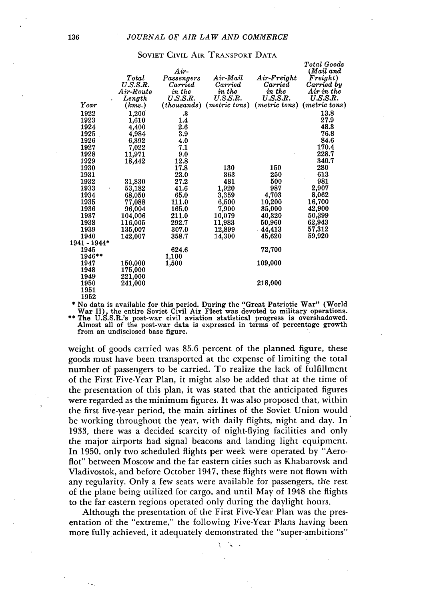|              | Total<br>U.S.S.R.<br>$Air-Route$ | Air-<br>Passengers<br>Carried<br>in the | Air-Mail<br>Carried<br>in the | $Air-Freight$<br>Carried<br>in the | <b>Total Goods</b><br>(Mail and<br>Freight)<br>Carried by<br>$Air$ in the |
|--------------|----------------------------------|-----------------------------------------|-------------------------------|------------------------------------|---------------------------------------------------------------------------|
|              | Length                           | U.S.S.R.                                | U.S.S.R.                      | U.S.S.R.                           | U.S.S.R.                                                                  |
| Year         | (kms.)                           | (thousands)                             | ( <i>metric</i> tons)         | $(metric \; tons)$                 | $(metric\;tons)$                                                          |
| 1922         | 1,200                            | .3                                      |                               |                                    | 13.8                                                                      |
| 1923         | 1,610                            | 1.4                                     |                               |                                    | 27.9                                                                      |
| 1924         | 4,400                            | 2.6                                     |                               |                                    | 48.3                                                                      |
| 1925         | 4,984                            | 3.9                                     |                               |                                    | 76.8                                                                      |
| 1926         | 6,392                            | 4.0                                     |                               |                                    | 84.6                                                                      |
| 1927         | 7,022                            | 7.1                                     |                               |                                    | 170.4                                                                     |
| 1928         | 11.971                           | 9.0                                     |                               |                                    | 228.7                                                                     |
| 1929         | 18,442                           | 12.8                                    |                               |                                    | 340.7                                                                     |
| 1930         |                                  | 17.8                                    | 130                           | 150                                | 280                                                                       |
| 1931         |                                  | 23.0                                    | 363                           | 250                                | 613                                                                       |
| 1932         | 31,830                           | 27.2                                    | 481                           | 500                                | 981                                                                       |
| 1933         | 53,182                           | 41.6                                    | 1,920                         | 987                                | 2,907                                                                     |
| 1934         | 68,050                           | 65.0                                    | 3,359                         | 4,703                              | 8,062                                                                     |
| 1935         | 77,088                           | 111.0                                   | 6,500                         | 10,200                             | 16,700                                                                    |
| 1936         | 96,004                           | 165.0                                   | 7,900                         | 35,000                             | 42,900                                                                    |
| 1937         | 104,006                          | 211.0                                   | 10,079                        | 40,320                             | 50,399                                                                    |
| 1938         | 116,005                          | 292.7                                   | 11,983                        | 50,960                             | 62,943                                                                    |
| 1939         | 135,007                          | 307.0                                   | 12,899                        | 44,413                             | 57,312                                                                    |
| 1940         | 142,007                          | 358.7                                   | 14,300                        | 45,620                             | 59,920                                                                    |
| 1941 - 1944* |                                  |                                         |                               |                                    |                                                                           |
| 1945         |                                  | 624.6                                   |                               | 72,700                             |                                                                           |
| 1946**       |                                  | 1.100                                   |                               |                                    |                                                                           |
| 1947         | 150,000                          | 1,500                                   |                               | 109,000                            |                                                                           |
| 1948         | 175,000                          |                                         |                               |                                    |                                                                           |
| 1949         | 221,000                          |                                         |                               |                                    |                                                                           |
| 1950         | 241,000                          |                                         |                               | 218,000                            |                                                                           |
| 1951         |                                  |                                         |                               |                                    |                                                                           |
| 1952         |                                  |                                         |                               |                                    |                                                                           |

#### SOVIET CIVIL AIR TRANSPORT DATA

1952<br>
\* No data is available for this period. During the "Great Patriotic War" (World<br>
War II), the entire Soviet Civil Air Fleet was devoted to military operations.<br>
\*\* The U.S.S.R.'s post-war civil aviation statistical p Almost all of the post-war data is expressed in terms of percentage growth

from an undisclosed base figure.

weight of goods carried was 85.6 percent of the planned figure, these goods must have been transported at the expense of limiting the total number of passengers to be carried. To realize the lack of fulfillment of the First Five-Year Plan, it might also be added that at the time of the presentation of this plan, it was stated that the anticipated figures were regarded as the minimum figures. It was also proposed that, within the first five-year period, the main airlines of the Soviet Union would be working throughout the year, with daily flights, night and day. In 1933, there was a decided scarcity of night-flying facilities and only the major airports had signal beacons and landing light equipment. In 1950, only two scheduled flights per week were operated by "Aeroflot" between Moscow and the far eastern cities such as Khabarovsk and Vladivostok, and before October 1947, these flights were not flown with any regularity. Only a few seats were available for passengers, the rest of the plane being utilized for cargo, and until May of 1948 the flights to the far eastern regions operated only during the daylight hours.

Although the presentation of the First Five-Year Plan was the presentation of the "extreme," the following Five-Year Plans having been more fully achieved, it adequately demonstrated the "super-ambitions"

> ÷. ¥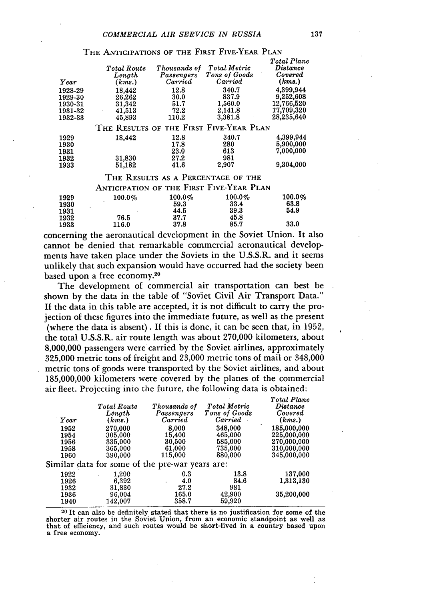| Year                                     | Total Route<br>Length<br>(kms.)         | Thousands of<br>Passengers<br>$\emph{Carried}$ | <b>Total Metric</b><br>Tons of Goods<br>Carried | Total Plane<br>$\boldsymbol{\it Distance}$<br>Covered<br>(kms.) |  |
|------------------------------------------|-----------------------------------------|------------------------------------------------|-------------------------------------------------|-----------------------------------------------------------------|--|
| 1928-29                                  | 18,442                                  | 12.8                                           | 340.7                                           | 4,399,944                                                       |  |
| 1929-30                                  | 26,262                                  | 30.0                                           | 837.9                                           | 9.252,608                                                       |  |
| 1930-31                                  | 31,342                                  | 51.7                                           | 1,560.0                                         | 12,766,520                                                      |  |
| 1931-32                                  | 41,513<br>$\cdot$                       | 72.2                                           | 2,141.8                                         | 17,709,320                                                      |  |
| 1932-33                                  | 45,893                                  | 110.2                                          | 3,381.8                                         | 28,235,640                                                      |  |
|                                          | THE RESULTS OF THE FIRST FIVE-YEAR PLAN |                                                |                                                 |                                                                 |  |
| 1929                                     | 18,442                                  | 12.8                                           | 340.7                                           | 4,399,944                                                       |  |
| 1930                                     |                                         | 17.8                                           | 280                                             | 5,900,000                                                       |  |
| 1931                                     |                                         | 23.0                                           | 613                                             | 7,000,000                                                       |  |
| 1932                                     | 31,830                                  | 27.2                                           | 981                                             |                                                                 |  |
| 1933                                     | 51.182                                  | 41.6                                           | 2.907                                           | 9,304,000                                                       |  |
|                                          |                                         |                                                | THE RESULTS AS A PERCENTAGE OF THE              |                                                                 |  |
| ANTICIPATION OF THE FIRST FIVE-YEAR PLAN |                                         |                                                |                                                 |                                                                 |  |
| 1929                                     | $100.0\%$                               | $100.0\%$                                      | $100.0\%$                                       | $100.0\%$                                                       |  |
| 1930                                     |                                         | 59.3                                           | 33.4                                            | 63.8                                                            |  |
|                                          |                                         |                                                |                                                 | - - -                                                           |  |

THE **ANTICIPATIONS** OF THE FIRST FIVE-YEAR PLAN

# concerning the aeronautical development in the Soviet Union. It also cannot be denied that remarkable commercial aeronautical developments have taken place under the Soviets in the U.S.S.R. and it seems unlikely that such expansion would have occurred had the society been based upon a free economy. 20

 $1931$   $44.5$   $39.3$   $54.9$ 

1933 116.0 37.8 85.7 33.0

**1932** 76.5 **37.7** 45.8

The development of commercial air transportation can best be shown by the data in the table of "Soviet Civil Air Transport Data." If the data in this table are accepted, it is not difficult to carry the projection of these figures into the immediate future, as well as the present (where the data is absent). If this is done, it can be seen that, in **1952,** the total **U.S.S.R.** air route length was about **270,000** kilometers, about **8,000,000** passengers were carried **by** the Soviet airlines, approximately 325,000 metric tons of freight and 23,000 metric tons of mail or 348,000 metric tons of goods were transported by the Soviet airlines, and about 185,000,000 kilometers were covered by the planes of the commercial air fleet. Projecting into the future, the following data is obtained:

| Year<br>1952<br>1954 | J<br>$\overline{\phantom{a}}$<br><b>Total Route</b><br>Length<br>(kms.)<br>270,000<br>305,000 | Thousands of<br>Passengers<br>Carried<br>8,000<br>15,400 | Total Metric<br>Tons of Goods<br>Carried<br>348,000<br>465,000 | Total Plane<br>$\it Distance$<br>Covered<br>(kms.)<br>185,000,000<br>225,000,000 |
|----------------------|-----------------------------------------------------------------------------------------------|----------------------------------------------------------|----------------------------------------------------------------|----------------------------------------------------------------------------------|
| 1956<br>1958<br>1960 | 335,000<br>365,000<br>390,000                                                                 | 30,500<br>61,000<br>115,000                              | 585,000<br>735,000<br>880,000                                  | 270,000,000<br>310,000,000<br>345,000,000                                        |
|                      |                                                                                               | Similar data for some of the pre-war years are:          |                                                                |                                                                                  |
| 1922<br>1926<br>1932 | 1,200<br>6.392<br>31,830                                                                      | 0.3<br>4.0<br>٠<br>27.2                                  | 13.8<br>84.6<br>981                                            | 137,000<br>1,313,130                                                             |
| 1936<br>1940         | 96,004<br>142,007                                                                             | 165.0<br>358.7                                           | 42,900<br>59,920                                               | 35,200,000                                                                       |

**<sup>20</sup>**It can also be definitely stated that there is no justification for some of the shorter air routes in the Soviet Union, from an economic standpoint as well as that of efficiency, and such routes would be short-lived in a country based upon a free economy.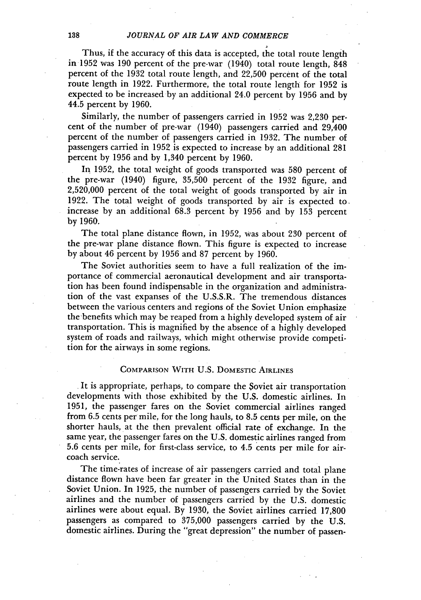Thus, if the accuracy **of** this data is accepted, the total route length in 1952 was **190** percent of the pre-war (1940) total route length, 848 percent of the 1932 total route length, and 22,500 percent of the total route length in 1922. Furthermore, the total route length for 1952 is expected to be increased by an additional 24.0 percent by 1956 and by 44.5 percent by 1960.

Similarly, the number of passengers carried in 1952 was **2,230** percent of the number of pre-war (1940) passengers carried and 29,400 percent of the number of passengers carried in 1932. The number of passengers carried in 1952 is expected to increase by an additional 281 percent by 1956 and by 1,340 percent by 1960.

In 1952, the total weight of goods transported was **580** percent of the pre-war (1940) figure, 35,500 percent of the 1932 figure, and **2,520,000** percent of the total weight of goods transported by air in 1922. The total weight of goods transported by air is expected to increase by an additional 68.3 percent by 1956 and by 153 percent by 1960.

The total plane distance flown, in 1952, was about **230** percent of the pre-war plane distance flown. This figure is expected to increase by about 46 percent by 1956 and 87 percent by 1960.

The Soviet authorities seem to have a full realization of the importance of commercial aeronautical development and air transportation has been found indispensable in the organization and administration of the vast expanses of the U.S.S.R. The tremendous distances between the various centers and regions of the Soviet Union emphasize the benefits which may be reaped from a highly developed system of air transportation. This is magnified by the absence of a highly developed system of roads and railways, which might otherwise provide competition for the airways in some regions.

#### COMPARISON WITH **U.S.** DOMESTIC **AIRLINES**

It is appropriate, perhaps, to compare the Soviet air transportation developments with those exhibited by the U.S. domestic airlines. In 1951, the passenger fares on the Soviet commercial airlines ranged from 6.5 cents per mile, for the long hauls, to 8.5 cents per mile, on the shorter hauls, at the then prevalent official rate of exchange. In the same year, the passenger fares on the U.S. domestic airlines ranged from 5.6 cents per mile, for first-class service, to 4.5 cents per mile for aircoach service.

The time-rates of increase of air passengers carried and total plane distance flown have been far greater in the United States than in the Soviet Union. In 1925, the number of passengers carried by the Soviet airlines and the number of passengers carried by the U.S. domestic airlines were about equal. By 1930, the Soviet airlines carried 17,800 passengers as compared to 375,000 passengers carried by the U.S. domestic airlines. During the "great depression" the number of passen-